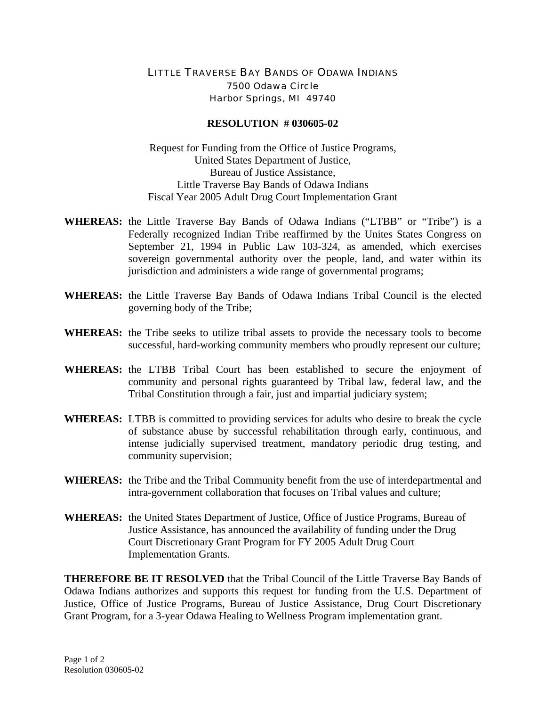## LITTLE TRAVERSE BAY BANDS OF ODAWA INDIANS 7500 Odawa Circle Harbor Springs, MI 49740

## **RESOLUTION # 030605-02**

Request for Funding from the Office of Justice Programs, United States Department of Justice, Bureau of Justice Assistance, Little Traverse Bay Bands of Odawa Indians Fiscal Year 2005 Adult Drug Court Implementation Grant

- **WHEREAS:** the Little Traverse Bay Bands of Odawa Indians ("LTBB" or "Tribe") is a Federally recognized Indian Tribe reaffirmed by the Unites States Congress on September 21, 1994 in Public Law 103-324, as amended, which exercises sovereign governmental authority over the people, land, and water within its jurisdiction and administers a wide range of governmental programs;
- **WHEREAS:** the Little Traverse Bay Bands of Odawa Indians Tribal Council is the elected governing body of the Tribe;
- **WHEREAS:** the Tribe seeks to utilize tribal assets to provide the necessary tools to become successful, hard-working community members who proudly represent our culture;
- **WHEREAS:** the LTBB Tribal Court has been established to secure the enjoyment of community and personal rights guaranteed by Tribal law, federal law, and the Tribal Constitution through a fair, just and impartial judiciary system;
- **WHEREAS:** LTBB is committed to providing services for adults who desire to break the cycle of substance abuse by successful rehabilitation through early, continuous, and intense judicially supervised treatment, mandatory periodic drug testing, and community supervision;
- **WHEREAS:** the Tribe and the Tribal Community benefit from the use of interdepartmental and intra-government collaboration that focuses on Tribal values and culture;
- **WHEREAS:** the United States Department of Justice, Office of Justice Programs, Bureau of Justice Assistance, has announced the availability of funding under the Drug Court Discretionary Grant Program for FY 2005 Adult Drug Court Implementation Grants.

**THEREFORE BE IT RESOLVED** that the Tribal Council of the Little Traverse Bay Bands of Odawa Indians authorizes and supports this request for funding from the U.S. Department of Justice, Office of Justice Programs, Bureau of Justice Assistance, Drug Court Discretionary Grant Program, for a 3-year Odawa Healing to Wellness Program implementation grant.